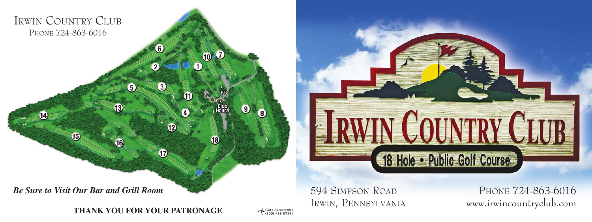



**0** GOLF ASSOCIATES

594 SIMPSON ROAD PHONE 724-863-6016 IRWIN, PENNSYLVANIA www.irwincountryclub.com

**CALINTINY** 

48 Hole • Public Golf Course